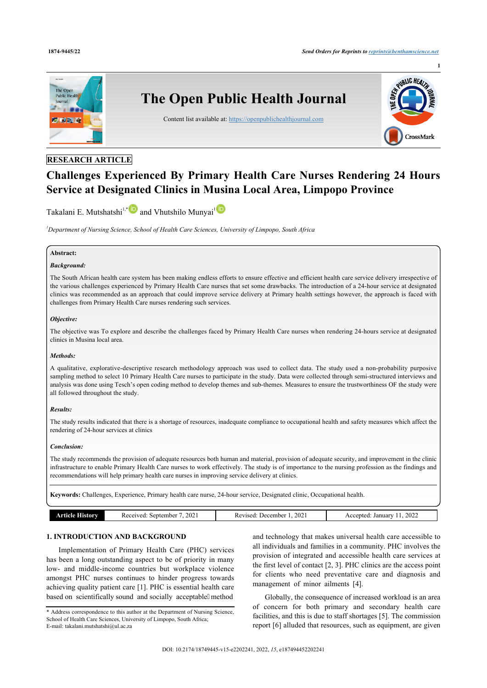

# **RESEARCH ARTICLE**

# **Challenges Experienced By Primary Health Care Nurses Rendering 24 Hours Service at Designated Clinics in Musina Local Area, Limpopo Province**

Takalani E. Mutshatshi<sup>[1](#page-0-0),[\\*](#page-0-1)</sup>and Vhutshilo Munyai<sup>1</sup>

<span id="page-0-0"></span>*<sup>1</sup>Department of Nursing Science, School of Health Care Sciences, University of Limpopo, South Africa*

#### **Abstract:**

#### *Background:*

The South African health care system has been making endless efforts to ensure effective and efficient health care service delivery irrespective of the various challenges experienced by Primary Health Care nurses that set some drawbacks. The introduction of a 24-hour service at designated clinics was recommended as an approach that could improve service delivery at Primary health settings however, the approach is faced with challenges from Primary Health Care nurses rendering such services.

#### *Objective:*

The objective was To explore and describe the challenges faced by Primary Health Care nurses when rendering 24-hours service at designated clinics in Musina local area.

#### *Methods:*

A qualitative, explorative-descriptive research methodology approach was used to collect data. The study used a non-probability purposive sampling method to select 10 Primary Health Care nurses to participate in the study. Data were collected through semi-structured interviews and analysis was done using Tesch's open coding method to develop themes and sub-themes. Measures to ensure the trustworthiness OF the study were all followed throughout the study.

#### *Results:*

The study results indicated that there is a shortage of resources, inadequate compliance to occupational health and safety measures which affect the rendering of 24-hour services at clinics

#### *Conclusion:*

The study recommends the provision of adequate resources both human and material, provision of adequate security, and improvement in the clinic infrastructure to enable Primary Health Care nurses to work effectively. The study is of importance to the nursing profession as the findings and recommendations will help primary health care nurses in improving service delivery at clinics.

**Keywords:** Challenges, Experience, Primary health care nurse, 24-hour service, Designated clinic, Occupational health.

| History<br>Article - | 2021<br>September<br>Received. | 2021<br>Jecember<br>Revised. | 2022<br>January<br>Accepted |
|----------------------|--------------------------------|------------------------------|-----------------------------|
|                      |                                |                              |                             |

# **1. INTRODUCTION AND BACKGROUND**

Implementation of Primary Health Care (PHC) services has been a long outstanding aspect to be of priority in many low- and middle-income countries but workplace violence amongst PHC nurses continues to hinder progress towards achieving quality patient care [[1](#page-4-0)]. PHC is essential health care based on scientifically sound and socially acceptable" method

and technology that makes universal health care accessible to all individuals and families in a community. PHC involves the provision of integrated and accessible health care services at the first level of contact [[2](#page-4-1), [3](#page-5-0)]. PHC clinics are the access point for clients who need preventative care and diagnosis and management of minor ailments [\[4\]](#page-5-1).

Globally, the consequence of increased workload is an area of concern for both primary and secondary health care facilities, and this is due to staff shortages [\[5\]](#page-5-2). The commission report [\[6](#page-5-3)] alluded that resources, such as equipment, are given

<span id="page-0-1"></span><sup>\*</sup> Address correspondence to this author at the Department of Nursing Science, School of Health Care Sciences, University of Limpopo, South Africa; E-mail: [takalani.mutshatshi@ul.ac.za](mailto:takalani.mutshatshi@ul.ac.za)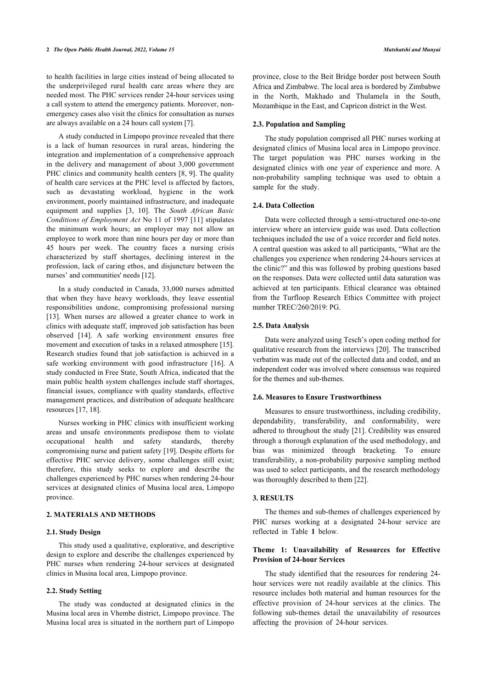to health facilities in large cities instead of being allocated to the underprivileged rural health care areas where they are needed most. The PHC services render 24-hour services using a call system to attend the emergency patients. Moreover, nonemergency cases also visit the clinics for consultation as nurses are always available on a 24 hours call system [\[7\]](#page-5-4).

A study conducted in Limpopo province revealed that there is a lack of human resources in rural areas, hindering the integration and implementation of a comprehensive approach in the delivery and management of about 3,000 government PHC clinics and community health centers [[8](#page-5-5), [9\]](#page-5-6). The quality of health care services at the PHC level is affected by factors, such as devastating workload, hygiene in the work environment, poorly maintained infrastructure, and inadequate equipment and supplies[[3,](#page-5-0) [10\]](#page-5-7). The *South African Basic Conditions of Employment Act* No 11 of 1997 [[11](#page-5-8)] stipulates the minimum work hours; an employer may not allow an employee to work more than nine hours per day or more than 45 hours per week. The country faces a nursing crisis characterized by staff shortages, declining interest in the profession, lack of caring ethos, and disjuncture between the nurses' and communities' needs [\[12](#page-5-9)].

In a study conducted in Canada, 33,000 nurses admitted that when they have heavy workloads, they leave essential responsibilities undone, compromising professional nursing [[13\]](#page-5-10). When nurses are allowed a greater chance to work in clinics with adequate staff, improved job satisfaction has been observed [\[14\]](#page-5-11). A safe working environment ensures free movement and execution of tasks in a relaxed atmosphere [[15](#page-5-12)]. Research studies found that job satisfaction is achieved in a safe working environment with good infrastructure[[16](#page-5-13)]. A study conducted in Free State, South Africa, indicated that the main public health system challenges include staff shortages, financial issues, compliance with quality standards, effective management practices, and distribution of adequate healthcare resources [[17,](#page-5-14) [18](#page-5-15)].

Nurses working in PHC clinics with insufficient working areas and unsafe environments predispose them to violate occupational health and safety standards, thereby compromising nurse and patient safety [[19\]](#page-5-16). Despite efforts for effective PHC service delivery, some challenges still exist; therefore, this study seeks to explore and describe the challenges experienced by PHC nurses when rendering 24-hour services at designated clinics of Musina local area, Limpopo province.

#### **2. MATERIALS AND METHODS**

#### **2.1. Study Design**

This study used a qualitative, explorative, and descriptive design to explore and describe the challenges experienced by PHC nurses when rendering 24-hour services at designated clinics in Musina local area, Limpopo province.

#### **2.2. Study Setting**

The study was conducted at designated clinics in the Musina local area in Vhembe district, Limpopo province. The Musina local area is situated in the northern part of Limpopo province, close to the Beit Bridge border post between South Africa and Zimbabwe. The local area is bordered by Zimbabwe in the North, Makhado and Thulamela in the South, Mozambique in the East, and Capricon district in the West.

#### **2.3. Population and Sampling**

The study population comprised all PHC nurses working at designated clinics of Musina local area in Limpopo province. The target population was PHC nurses working in the designated clinics with one year of experience and more. A non-probability sampling technique was used to obtain a sample for the study.

#### **2.4. Data Collection**

Data were collected through a semi-structured one-to-one interview where an interview guide was used. Data collection techniques included the use of a voice recorder and field notes. A central question was asked to all participants, "What are the challenges you experience when rendering 24-hours services at the clinic?" and this was followed by probing questions based on the responses. Data were collected until data saturation was achieved at ten participants. Ethical clearance was obtained from the Turfloop Research Ethics Committee with project number TREC/260/2019: PG.

#### **2.5. Data Analysis**

Data were analyzed using Tesch's open coding method for qualitative research from the interviews [\[20](#page-5-17)]. The transcribed verbatim was made out of the collected data and coded, and an independent coder was involved where consensus was required for the themes and sub-themes.

### **2.6. Measures to Ensure Trustworthiness**

Measures to ensure trustworthiness, including credibility, dependability, transferability, and conformability, were adhered to throughout the study [\[21](#page-5-18)]. Credibility was ensured through a thorough explanation of the used methodology, and bias was minimized through bracketing. To ensure transferability, a non-probability purposive sampling method was used to select participants, and the research methodology was thoroughly described to them [\[22](#page-5-19)].

#### **3. RESULTS**

The themes and sub-themes of challenges experienced by PHC nurses working at a designated 24-hour service are reflected in Table**1** below.

#### **Theme 1: Unavailability of Resources for Effective Provision of 24-hour Services**

The study identified that the resources for rendering 24 hour services were not readily available at the clinics. This resource includes both material and human resources for the effective provision of 24-hour services at the clinics. The following sub-themes detail the unavailability of resources affecting the provision of 24-hour services.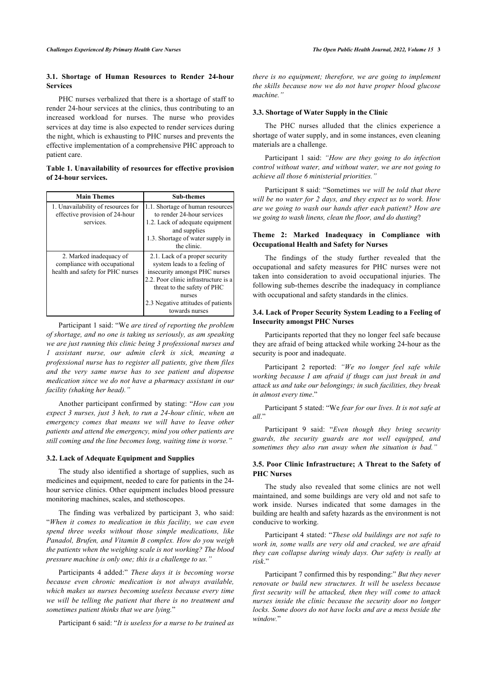#### **3.1. Shortage of Human Resources to Render 24-hour Services**

PHC nurses verbalized that there is a shortage of staff to render 24-hour services at the clinics, thus contributing to an increased workload for nurses. The nurse who provides services at day time is also expected to render services during the night, which is exhausting to PHC nurses and prevents the effective implementation of a comprehensive PHC approach to patient care.

#### <span id="page-2-0"></span>**Table 1. Unavailability of resources for effective provision of 24-hour services.**

| <b>Main Themes</b>                 | <b>Sub-themes</b>                    |
|------------------------------------|--------------------------------------|
| 1. Unavailability of resources for | 1.1. Shortage of human resources     |
| effective provision of 24-hour     | to render 24-hour services           |
| services.                          | 1.2. Lack of adequate equipment      |
|                                    | and supplies                         |
|                                    | 1.3. Shortage of water supply in     |
|                                    | the clinic.                          |
| 2. Marked inadequacy of            | 2.1. Lack of a proper security       |
| compliance with occupational       | system leads to a feeling of         |
| health and safety for PHC nurses   | insecurity amongst PHC nurses        |
|                                    | 2.2. Poor clinic infrastructure is a |
|                                    | threat to the safety of PHC          |
|                                    | nurses                               |
|                                    | 2.3 Negative attitudes of patients   |
|                                    | towards nurses                       |

Participant 1 said: "We *are tired of reporting the problem of shortage, and no one is taking us seriously, as am speaking we are just running this clinic being 3 professional nurses and 1 assistant nurse, our admin clerk is sick, meaning a professional nurse has to register all patients, give them files and the very same nurse has to see patient and dispense medication since we do not have a pharmacy assistant in our facility (shaking her head)."*

Another participant confirmed by stating: "*How can you expect 3 nurses, just 3 heh, to run a 24-hour clinic, when an emergency comes that means we will have to leave other patients and attend the emergency, mind you other patients are still coming and the line becomes long, waiting time is worse."*

#### **3.2. Lack of Adequate Equipment and Supplies**

The study also identified a shortage of supplies, such as medicines and equipment, needed to care for patients in the 24 hour service clinics. Other equipment includes blood pressure monitoring machines, scales, and stethoscopes.

The finding was verbalized by participant 3, who said: "*When it comes to medication in this facility, we can even spend three weeks without those simple medications, like Panadol, Brufen, and Vitamin B complex. How do you weigh the patients when the weighing scale is not working? The blood pressure machine is only one; this is a challenge to us."*

Participants 4 added:" *These days it is becoming worse because even chronic medication is not always available, which makes us nurses becoming useless because every time we will be telling the patient that there is no treatment and sometimes patient thinks that we are lying.*"

Participant 6 said: "*It is useless for a nurse to be trained as*

*there is no equipment; therefore, we are going to implement the skills because now we do not have proper blood glucose machine."*

#### **3.3. Shortage of Water Supply in the Clinic**

The PHC nurses alluded that the clinics experience a shortage of water supply, and in some instances, even cleaning materials are a challenge.

Participant 1 said: *"How are they going to do infection control without water, and without water, we are not going to achieve all those 6 ministerial priorities."*

Participant 8 said: "Sometimes *we will be told that there will be no water for 2 days, and they expect us to work. How are we going to wash our hands after each patient? How are we going to wash linens, clean the floor, and do dusting*?

#### **Theme 2: Marked Inadequacy in Compliance with Occupational Health and Safety for Nurses**

The findings of the study further revealed that the occupational and safety measures for PHC nurses were not taken into consideration to avoid occupational injuries. The following sub-themes describe the inadequacy in compliance with occupational and safety standards in the clinics.

#### **3.4. Lack of Proper Security System Leading to a Feeling of Insecurity amongst PHC Nurses**

Participants reported that they no longer feel safe because they are afraid of being attacked while working 24-hour as the security is poor and inadequate.

Participant 2 reported: *"We no longer feel safe while working because I am afraid if thugs can just break in and attack us and take our belongings; in such facilities, they break in almost every time*."

Participant 5 stated: "We *fear for our lives. It is not safe at all*."

Participant 9 said: "*Even though they bring security guards, the security guards are not well equipped, and sometimes they also run away when the situation is bad."*

#### **3.5. Poor Clinic Infrastructure; A Threat to the Safety of PHC Nurses**

The study also revealed that some clinics are not well maintained, and some buildings are very old and not safe to work inside. Nurses indicated that some damages in the building are health and safety hazards as the environment is not conducive to working.

Participant 4 stated: "*These old buildings are not safe to work in, some walls are very old and cracked, we are afraid they can collapse during windy days. Our safety is really at risk*."

Participant 7 confirmed this by responding:" *But they never renovate or build new structures. It will be useless because first security will be attacked, then they will come to attack nurses inside the clinic because the security door no longer locks. Some doors do not have locks and are a mess beside the window.*"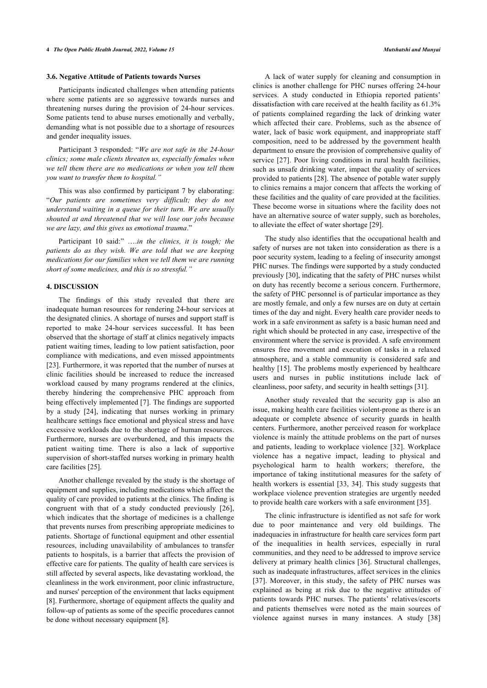#### **3.6. Negative Attitude of Patients towards Nurses**

Participants indicated challenges when attending patients where some patients are so aggressive towards nurses and threatening nurses during the provision of 24-hour services. Some patients tend to abuse nurses emotionally and verbally, demanding what is not possible due to a shortage of resources and gender inequality issues.

Participant 3 responded: "*We are not safe in the 24-hour clinics; some male clients threaten us, especially females when we tell them there are no medications or when you tell them you want to transfer them to hospital."*

This was also confirmed by participant 7 by elaborating: "*Our patients are sometimes very difficult; they do not understand waiting in a queue for their turn. We are usually shouted at and threatened that we will lose our jobs because we are lazy, and this gives us emotional trauma*."

Participant 10 said:" ….*in the clinics, it is tough; the patients do as they wish. We are told that we are keeping medications for our families when we tell them we are running short of some medicines, and this is so stressful."*

#### **4. DISCUSSION**

The findings of this study revealed that there are inadequate human resources for rendering 24-hour services at the designated clinics. A shortage of nurses and support staff is reported to make 24-hour services successful. It has been observed that the shortage of staff at clinics negatively impacts patient waiting times, leading to low patient satisfaction, poor compliance with medications, and even missed appointments [[23\]](#page-5-20). Furthermore, it was reported that the number of nurses at clinic facilities should be increased to reduce the increased workload caused by many programs rendered at the clinics, thereby hindering the comprehensive PHC approach from being effectively implemented [[7](#page-5-4)]. The findings are supported by a study [\[24\]](#page-5-2), indicating that nurses working in primary healthcare settings face emotional and physical stress and have excessive workloads due to the shortage of human resources. Furthermore, nurses are overburdened, and this impacts the patient waiting time. There is also a lack of supportive supervision of short-staffed nurses working in primary health care facilities [\[25](#page-5-21)].

Another challenge revealed by the study is the shortage of equipment and supplies, including medications which affect the quality of care provided to patients at the clinics. The finding is congruent with that of a study conducted previously[[26\]](#page-5-22), which indicates that the shortage of medicines is a challenge that prevents nurses from prescribing appropriate medicines to patients. Shortage of functional equipment and other essential resources, including unavailability of ambulances to transfer patients to hospitals, is a barrier that affects the provision of effective care for patients. The quality of health care services is still affected by several aspects, like devastating workload, the cleanliness in the work environment, poor clinic infrastructure, and nurses' perception of the environment that lacks equipment [[8](#page-5-5)]. Furthermore, shortage of equipment affects the quality and follow-up of patients as some of the specific procedures cannot be done without necessary equipment [\[8\]](#page-5-5).

A lack of water supply for cleaning and consumption in clinics is another challenge for PHC nurses offering 24-hour services. A study conducted in Ethiopia reported patients' dissatisfaction with care received at the health facility as 61.3% of patients complained regarding the lack of drinking water which affected their care. Problems, such as the absence of water, lack of basic work equipment, and inappropriate staff composition, need to be addressed by the government health department to ensure the provision of comprehensive quality of service [[27\]](#page-5-23). Poor living conditions in rural health facilities, such as unsafe drinking water, impact the quality of services provided to patients [\[28](#page-5-24)]. The absence of potable water supply to clinics remains a major concern that affects the working of these facilities and the quality of care provided at the facilities. These become worse in situations where the facility does not have an alternative source of water supply, such as boreholes, to alleviate the effect of water shortage [[29\]](#page-5-6).

The study also identifies that the occupational health and safety of nurses are not taken into consideration as there is a poor security system, leading to a feeling of insecurity amongst PHC nurses. The findings were supported by a study conducted previously [[30\]](#page-5-25), indicating that the safety of PHC nurses whilst on duty has recently become a serious concern. Furthermore, the safety of PHC personnel is of particular importance as they are mostly female, and only a few nurses are on duty at certain times of the day and night. Every health care provider needs to work in a safe environment as safety is a basic human need and right which should be protected in any case, irrespective of the environment where the service is provided. A safe environment ensures free movement and execution of tasks in a relaxed atmosphere, and a stable community is considered safe and healthy [[15](#page-5-12)]. The problems mostly experienced by healthcare users and nurses in public institutions include lack of cleanliness, poor safety, and security in health settings [[31\]](#page-5-26).

Another study revealed that the security gap is also an issue, making health care facilities violent-prone as there is an adequate or complete absence of security guards in health centers. Furthermore, another perceived reason for workplace violence is mainly the attitude problems on the part of nurses and patients, leading to workplace violence [\[32\]](#page-5-27). Workplace violence has a negative impact, leading to physical and psychological harm to health workers; therefore, the importance of taking institutional measures for the safety of health workers is essential [[33](#page-5-28), [34](#page-5-29)]. This study suggests that workplace violence prevention strategies are urgently needed to provide health care workers with a safe environment [[35\]](#page-5-12).

The clinic infrastructure is identified as not safe for work due to poor maintenance and very old buildings. The inadequacies in infrastructure for health care services form part of the inequalities in health services, especially in rural communities, and they need to be addressed to improve service delivery at primary health clinics [\[36](#page-5-13)]. Structural challenges, such as inadequate infrastructures, affect services in the clinics [[37](#page-5-30)]. Moreover, in this study, the safety of PHC nurses was explained as being at risk due to the negative attitudes of patients towards PHC nurses. The patients' relatives/escorts and patients themselves were noted as the main sources of violence against nurses in many instances. A study [\[38\]](#page-5-31)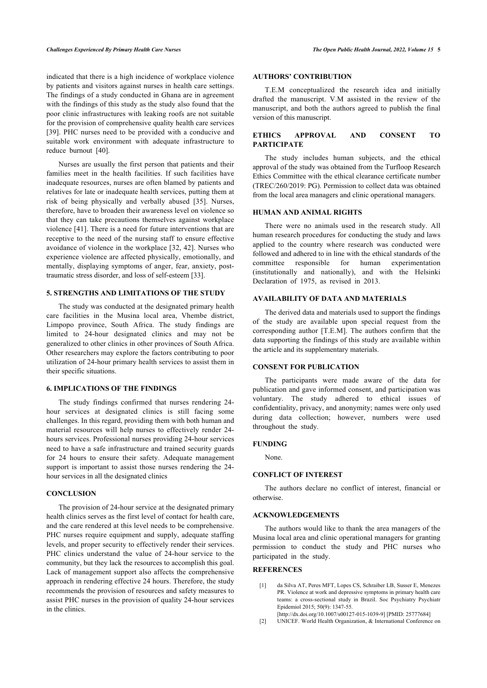#### *Challenges Experienced By Primary Health Care Nurses The Open Public Health Journal, 2022, Volume 15* **5**

indicated that there is a high incidence of workplace violence by patients and visitors against nurses in health care settings. The findings of a study conducted in Ghana are in agreement with the findings of this study as the study also found that the poor clinic infrastructures with leaking roofs are not suitable for the provision of comprehensive quality health care services [[39\]](#page-5-32). PHC nurses need to be provided with a conducive and suitable work environment with adequate infrastructure to reduce burnout [\[40](#page-5-33)].

Nurses are usually the first person that patients and their families meet in the health facilities. If such facilities have inadequate resources, nurses are often blamed by patients and relatives for late or inadequate health services, putting them at risk of being physically and verbally abused [\[35\]](#page-5-12). Nurses, therefore, have to broaden their awareness level on violence so that they can take precautions themselves against workplace violence [[41\]](#page-6-0). There is a need for future interventions that are receptive to the need of the nursing staff to ensure effective avoidance of violence in the workplace [\[32](#page-5-27), [42\]](#page-6-1). Nurses who experience violence are affected physically, emotionally, and mentally, displaying symptoms of anger, fear, anxiety, posttraumatic stress disorder, and loss of self-esteem [[33\]](#page-5-28).

#### **5. STRENGTHS AND LIMITATIONS OF THE STUDY**

The study was conducted at the designated primary health care facilities in the Musina local area, Vhembe district, Limpopo province, South Africa. The study findings are limited to 24-hour designated clinics and may not be generalized to other clinics in other provinces of South Africa. Other researchers may explore the factors contributing to poor utilization of 24-hour primary health services to assist them in their specific situations.

#### **6. IMPLICATIONS OF THE FINDINGS**

The study findings confirmed that nurses rendering 24 hour services at designated clinics is still facing some challenges. In this regard, providing them with both human and material resources will help nurses to effectively render 24 hours services. Professional nurses providing 24-hour services need to have a safe infrastructure and trained security guards for 24 hours to ensure their safety. Adequate management support is important to assist those nurses rendering the 24hour services in all the designated clinics

#### **CONCLUSION**

<span id="page-4-1"></span><span id="page-4-0"></span>The provision of 24-hour service at the designated primary health clinics serves as the first level of contact for health care, and the care rendered at this level needs to be comprehensive. PHC nurses require equipment and supply, adequate staffing levels, and proper security to effectively render their services. PHC clinics understand the value of 24-hour service to the community, but they lack the resources to accomplish this goal. Lack of management support also affects the comprehensive approach in rendering effective 24 hours. Therefore, the study recommends the provision of resources and safety measures to assist PHC nurses in the provision of quality 24-hour services in the clinics.

#### **AUTHORS' CONTRIBUTION**

T.E.M conceptualized the research idea and initially drafted the manuscript. V.M assisted in the review of the manuscript, and both the authors agreed to publish the final version of this manuscript.

#### **ETHICS APPROVAL AND CONSENT TO PARTICIPATE**

The study includes human subjects, and the ethical approval of the study was obtained from the Turfloop Research Ethics Committee with the ethical clearance certificate number (TREC/260/2019: PG). Permission to collect data was obtained from the local area managers and clinic operational managers.

#### **HUMAN AND ANIMAL RIGHTS**

There were no animals used in the research study. All human research procedures for conducting the study and laws applied to the country where research was conducted were followed and adhered to in line with the ethical standards of the committee responsible for human experimentation (institutionally and nationally), and with the Helsinki Declaration of 1975, as revised in 2013.

#### **AVAILABILITY OF DATA AND MATERIALS**

The derived data and materials used to support the findings of the study are available upon special request from the corresponding author [T.E.M]. The authors confirm that the data supporting the findings of this study are available within the article and its supplementary materials.

#### **CONSENT FOR PUBLICATION**

The participants were made aware of the data for publication and gave informed consent, and participation was voluntary. The study adhered to ethical issues of confidentiality, privacy, and anonymity; names were only used during data collection; however, numbers were used throughout the study.

#### **FUNDING**

None.

#### **CONFLICT OF INTEREST**

The authors declare no conflict of interest, financial or otherwise.

#### **ACKNOWLEDGEMENTS**

The authors would like to thank the area managers of the Musina local area and clinic operational managers for granting permission to conduct the study and PHC nurses who participated in the study.

#### **REFERENCES**

- [1] da Silva AT, Peres MFT, Lopes CS, Schraiber LB, Susser E, Menezes PR. Violence at work and depressive symptoms in primary health care teams: a cross-sectional study in Brazil. Soc Psychiatry Psychiatr Epidemiol 2015; 50(9): 1347-55.
- [\[http://dx.doi.org/10.1007/s00127-015-1039-9\]](http://dx.doi.org/10.1007/s00127-015-1039-9) [PMID: [25777684](http://www.ncbi.nlm.nih.gov/pubmed/25777684)]
- [2] UNICEF. World Health Organization, & International Conference on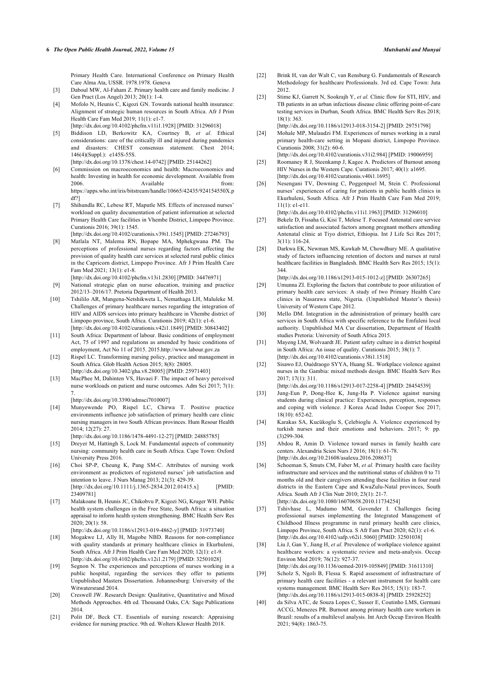Primary Health Care. International Conference on Primary Health Care Alma Ata, USSR. 1978.1978. Geneva

- <span id="page-5-20"></span><span id="page-5-19"></span><span id="page-5-0"></span>[3] Daboul MW, Al-Faham Z. Primary health care and family medicin*e.* J Gen Pract (Los Angel) 2013; 20(1): 1-4.
- <span id="page-5-1"></span>[4] Mofolo N, Heunis C, Kigozi GN. Towards national health insurance: Alignment of strategic human resources in South Africa. Afr J Prim Health Care Fam Med 2019; 11(1): e1-7. [\[http://dx.doi.org/10.4102/phcfm.v11i1.1928\]](http://dx.doi.org/10.4102/phcfm.v11i1.1928) [PMID: [31296018](http://www.ncbi.nlm.nih.gov/pubmed/31296018)]
- <span id="page-5-2"></span>[5] Biddison LD, Berkowitz KA, Courtney B, *et al.* Ethical considerations: care of the critically ill and injured during pandemics and disasters: CHEST consensus statement. Chest 2014; 146(4)(Suppl.): e145S-55S.
- [\[http://dx.doi.org/10.1378/chest.14-0742\]](http://dx.doi.org/10.1378/chest.14-0742) [PMID: [25144262](http://www.ncbi.nlm.nih.gov/pubmed/25144262)]
- <span id="page-5-22"></span><span id="page-5-21"></span><span id="page-5-3"></span>[6] Commission on macroeconomics and health: Macroeconomics and health: Investing in health for economic development. Available from Available https://apps.who.int/iris/bitstream/handle/10665/42435/924154550X.p df?]
- <span id="page-5-4"></span>[7] Shihundla RC, Lebese RT, Maputle MS. Effects of increased nurses' workload on quality documentation of patient information at selected Primary Health Care facilities in Vhembe District, Limpopo Province. Curationis 2016; 39(1): 1545.
- <span id="page-5-23"></span><span id="page-5-5"></span>[\[http://dx.doi.org/10.4102/curationis.v39i1.1545](http://dx.doi.org/10.4102/curationis.v39i1.1545)] [PMID: [27246793\]](http://www.ncbi.nlm.nih.gov/pubmed/27246793) [8] Matlala NT, Malema RN, Bopape MA, Mphekgwana PM. The
- <span id="page-5-24"></span>perceptions of professional nurses regarding factors affecting the provision of quality health care services at selected rural public clinics in the Capricorn district, Limpopo Province. Afr J Prim Health Care Fam Med 2021; 13(1): e1-8.
- [\[http://dx.doi.org/10.4102/phcfm.v13i1.2830\]](http://dx.doi.org/10.4102/phcfm.v13i1.2830) [PMID: [34476971](http://www.ncbi.nlm.nih.gov/pubmed/34476971)] [9] National strategic plan on nurse education, training and practice 2012/13–2016/17. Pretoria Department of Health 2013.
- <span id="page-5-25"></span><span id="page-5-7"></span><span id="page-5-6"></span>[10] Tshililo AR, Mangena-Netshikweta L, Nemathaga LH, Maluleke M. Challenges of primary healthcare nurses regarding the integration of HIV and AIDS services into primary healthcare in Vhembe district of Limpopo province, South Africa. Curationis 2019; 42(1): e1-6. [\[http://dx.doi.org/10.4102/curationis.v42i1.1849](http://dx.doi.org/10.4102/curationis.v42i1.1849)] [PMID: [30843402\]](http://www.ncbi.nlm.nih.gov/pubmed/30843402)
- <span id="page-5-26"></span><span id="page-5-8"></span>[11] South Africa: Department of labour. Basic conditions of employment Act, 75 of 1997 and regulations as amended by basic conditions of employment, Act No 11 of 2015. 2015.<http://www.labour.gov.za>
- <span id="page-5-27"></span><span id="page-5-9"></span>[12] Rispel LC. Transforming nursing policy, practice and management in South Africa. Glob Health Action 2015; 8(8): 28005. [\[http://dx.doi.org/10.3402/gha.v8.28005](http://dx.doi.org/10.3402/gha.v8.28005)] [PMID: [25971403\]](http://www.ncbi.nlm.nih.gov/pubmed/25971403)
- <span id="page-5-10"></span>[13] MacPhee M, Dahinten VS, Havaei F. The impact of heavy perceived nurse workloads on patient and nurse outcomes. Adm Sci 2017: 7(1): 7.

[\[http://dx.doi.org/10.3390/admsci7010007\]](http://dx.doi.org/10.3390/admsci7010007)

- <span id="page-5-29"></span><span id="page-5-28"></span><span id="page-5-11"></span>[14] Munyewende PO, Rispel LC, Chirwa T. Positive practice environments influence job satisfaction of primary health care clinic nursing managers in two South African provinces. Hum Resour Health 2014; 12(27): 27.
	- [\[http://dx.doi.org/10.1186/1478-4491-12-27](http://dx.doi.org/10.1186/1478-4491-12-27)] [PMID: [24885785\]](http://www.ncbi.nlm.nih.gov/pubmed/24885785)
- <span id="page-5-12"></span>[15] Dreyer M, Hattingh S, Lock M. Fundamental aspects of community nursing: community health care in South Africa. Cape Town: Oxford University Press 2016.
- <span id="page-5-13"></span>[16] Choi SP-P, Cheung K, Pang SM-C. Attributes of nursing work environment as predictors of registered nurses' job satisfaction and intention to leave. J Nurs Manag 2013; 21(3): 429-39. [\[http://dx.doi.org/10.1111/j.1365-2834.2012.01415.x\]](http://dx.doi.org/10.1111/j.1365-2834.2012.01415.x) [PMID: [23409781\]](http://www.ncbi.nlm.nih.gov/pubmed/23409781)
- <span id="page-5-30"></span><span id="page-5-14"></span>[17] Malakoane B, Heunis JC, Chikobvu P, Kigozi NG, Kruger WH. Public health system challenges in the Free State, South Africa: a situation appraisal to inform health system strengthening. BMC Health Serv Res 2020; 20(1): 58.
- [\[http://dx.doi.org/10.1186/s12913-019-4862-y](http://dx.doi.org/10.1186/s12913-019-4862-y)] [PMID: [31973740\]](http://www.ncbi.nlm.nih.gov/pubmed/31973740)
- <span id="page-5-31"></span><span id="page-5-15"></span>[18] Mogakwe LJ, Ally H, Magobe NBD. Reasons for non-compliance with quality standards at primary healthcare clinics in Ekurhuleni, South Africa. Afr J Prim Health Care Fam Med 2020; 12(1): e1-9. [\[http://dx.doi.org/10.4102/phcfm.v12i1.2179\]](http://dx.doi.org/10.4102/phcfm.v12i1.2179) [PMID: [32501028](http://www.ncbi.nlm.nih.gov/pubmed/32501028)]
- <span id="page-5-32"></span><span id="page-5-16"></span>[19] Segnon N. The experiences and perceptions of nurses working in a public hospital, regarding the services they offer to patients Unpublished Masters Dissertation. Johannesburg: University of the Witwatersrand 2014.
- <span id="page-5-33"></span><span id="page-5-17"></span>[20] Creswell JW. Research Design: Qualitative, Quantitative and Mixed Methods Approaches. 4th ed. Thousand Oaks, CA: Sage Publications 2014.
- <span id="page-5-18"></span>[21] Polit DF, Beck CT. Essentials of nursing research: Appraising evidence for nursing practice. 9th ed. Wolters Kluwer Health 2018.
- [22] Brink H, van der Walt C, van Rensburg G. Fundamentals of Research Methodology for healthcare Professionals. 3rd ed. Cape Town: Juta 2012.
- [23] Stime KJ, Garrett N, Sookrajh Y, *et al.* Clinic flow for STI, HIV, and TB patients in an urban infectious disease clinic offering point-of-care testing services in Durban, South Africa. BMC Health Serv Res 2018; 18(1): 363.

[\[http://dx.doi.org/10.1186/s12913-018-3154-2\]](http://dx.doi.org/10.1186/s12913-018-3154-2) [PMID: [29751798](http://www.ncbi.nlm.nih.gov/pubmed/29751798)]

- [24] Mohale MP, Mulaudzi FM. Experiences of nurses working in a rural primary health-care setting in Mopani district, Limpopo Province. Curationis 2008; 31(2): 60-6.
- [\[http://dx.doi.org/10.4102/curationis.v31i2.984](http://dx.doi.org/10.4102/curationis.v31i2.984)] [PMID: [19006959\]](http://www.ncbi.nlm.nih.gov/pubmed/19006959) [25] Roomaney R J, Steenkamp J, Kagee A. Predictors of Burnout among
- HIV Nurses in the Western Cape. Curationis 2017; 40(1): a1695. [\[http://dx.doi.org/10.4102/curationis.v40i1.1695\]](http://dx.doi.org/10.4102/curationis.v40i1.1695) [26] Nesengani TV, Downing C, Poggenpoel M, Stein C. Professional
- nurses' experiences of caring for patients in public health clinics in Ekurhuleni, South Africa. Afr J Prim Health Care Fam Med 2019;  $11(1)$ : e1-e11.

[\[http://dx.doi.org/10.4102/phcfm.v11i1.1963\]](http://dx.doi.org/10.4102/phcfm.v11i1.1963) [PMID: [31296010](http://www.ncbi.nlm.nih.gov/pubmed/31296010)]

- [27] Bekele D, Fissaha G, Kisi T, Melese T. Focused Antenatal care service satisfaction and associated factors among pregnant mothers attending Antenatal clinic at Tiyo district, Ethiopia. Int J Life Sci Res 2017; 3(11): 116-24.
- [28] Darkwa EK, Newman MS, Kawkab M, Chowdhury ME. A qualitative study of factors influencing retention of doctors and nurses at rural healthcare facilities in Bangladesh. BMC Health Serv Res 2015; 15(1): 344.

[\[http://dx.doi.org/10.1186/s12913-015-1012-z](http://dx.doi.org/10.1186/s12913-015-1012-z)] [PMID: [26307265\]](http://www.ncbi.nlm.nih.gov/pubmed/26307265)

- [29] Umunna ZI. Exploring the factors that contribute to poor utilization of primary health care services: A study of two Primary Health Care clinics in Nasarawa state, Nigeria. (Unpublished Master's thesis) University of Western Cape 2012.
- [30] Mello DM. Integration in the administration of primary health care services in South Africa with specific reference to the Emfuleni local authority. Unpublished MA Cur dissertation, Department of Health studies Pretoria: University of South Africa 2015.
- [31] Mayeng LM, Wolvaardt JE. Patient safety culture in a district hospital in South Africa: An issue of quality. Curationis 2015; 38(1): 7. [\[http://dx.doi.org/10.4102/curationis.v38i1.1518\]](http://dx.doi.org/10.4102/curationis.v38i1.1518)
- [32] Sisawo EJ, Ouédraogo SYYA, Huang SL. Workplace violence against nurses in the Gambia: mixed methods design. BMC Health Serv Res 2017; 17(1): 311.
- [\[http://dx.doi.org/10.1186/s12913-017-2258-4\]](http://dx.doi.org/10.1186/s12913-017-2258-4) [PMID: [28454539](http://www.ncbi.nlm.nih.gov/pubmed/28454539)]
- [33] Jung-Eun P, Dong-Hee K, Jung-Ha P. Violence against nursing students during clinical practice: Experiences, perception, responses and coping with violence. J Korea Acad Indus Cooper Soc 2017; 18(10): 652-62.
- [34] Karakas SA, Kucükoglu S, Çelebioglu A. Violence experienced by turkish nurses and their emotions and behaviors. 2017; 9: pp. (3)299-304.
- [35] Abdou R, Amin D. Violence toward nurses in family health care centers. Alexandria Scien Nurs J 2016; 18(1): 61-78. [\[http://dx.doi.org/10.21608/asalexu.2016.208637](http://dx.doi.org/10.21608/asalexu.2016.208637)]
- [36] Schoeman S, Smuts CM, Faber M, et al. Primary health care facility infrastructure and services and the nutritional status of children 0 to 71 months old and their caregivers attending these facilities in four rural districts in the Eastern Cape and KwaZulu-Natal provinces, South Africa. South Afr J Clin Nutr 2010; 23(1): 21-7. [\[http://dx.doi.org/10.1080/16070658.2010.11734254\]](http://dx.doi.org/10.1080/16070658.2010.11734254)
- [37] Tshivhase L, Madumo MM, Govender I. Challenges facing professional nurses implementing the Integrated Management of Childhood Illness programme in rural primary health care clinics, Limpopo Province, South Africa. S Afr Fam Pract 2020; 62(1): e1-6. [\[http://dx.doi.org/10.4102/safp.v62i1.5060\]](http://dx.doi.org/10.4102/safp.v62i1.5060) [PMID: [32501038](http://www.ncbi.nlm.nih.gov/pubmed/32501038)]
- [38] Liu J, Gan Y, Jiang H, *et al.* Prevalence of workplace violence against healthcare workers: a systematic review and meta-analysis. Occup Environ Med 2019; 76(12): 927-37. [\[http://dx.doi.org/10.1136/oemed-2019-105849\]](http://dx.doi.org/10.1136/oemed-2019-105849) [PMID: [31611310](http://www.ncbi.nlm.nih.gov/pubmed/31611310)]
- [39] Scholz S, Ngoli B, Flessa S. Rapid assessment of infrastructure of primary health care facilities - a relevant instrument for health care systems management. BMC Health Serv Res 2015; 15(1): 183-7. [\[http://dx.doi.org/10.1186/s12913-015-0838-8\]](http://dx.doi.org/10.1186/s12913-015-0838-8) [PMID: [25928252](http://www.ncbi.nlm.nih.gov/pubmed/25928252)]
- [40] da Silva ATC, de Souza Lopes C, Susser E, Coutinho LMS, Germani ACCG, Menezes PR. Burnout among primary health care workers in Brazil: results of a multilevel analysis. Int Arch Occup Environ Health 2021; 94(8): 1863-75.